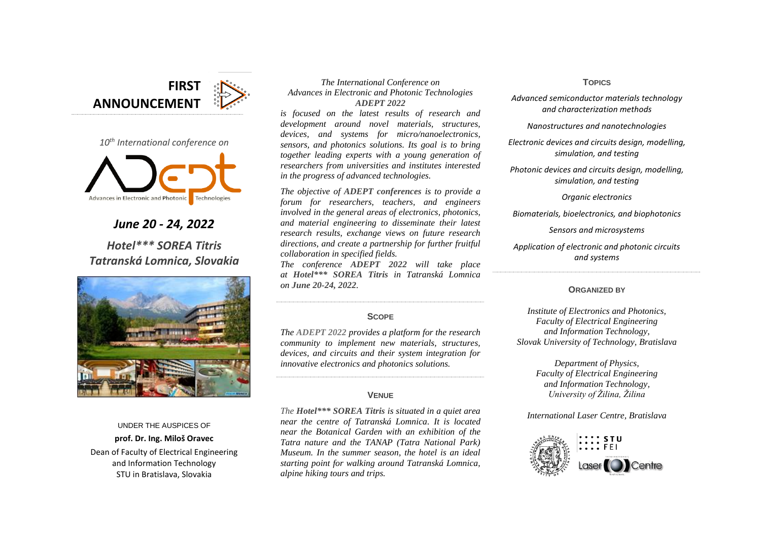

*10th International conference on*



# *June 20 - 24, 2022 Hotel\*\*\* SOREA Titris Tatranská Lomnica, Slovakia*



#### UNDER THE AUSPICES OF

# **prof. Dr. Ing. Miloš Oravec**

Dean of Faculty of Electrical Engineering and Information Technology STU in Bratislava, Slovakia

# *The International Conference on Advances in Electronic and Photonic Technologies ADEPT 2022*

*is focused on the latest results of research and development around novel materials, structures, devices, and systems for micro/nanoelectronics, sensors, and photonics solutions. Its goal is to bring together leading experts with a young generation of researchers from universities and institutes interested in the progress of advanced technologies.* 

*The objective of ADEPT conferences is to provide a forum for researchers, teachers, and engineers involved in the general areas of electronics, photonics, and material engineering to disseminate their latest research results, exchange views on future research directions, and create a partnership for further fruitful collaboration in specified fields.*

*The conference ADEPT 2022 will take place at Hotel\*\*\* SOREA Titris in Tatranská Lomnica on June 20-24, 2022.*

# **SCOPE**

*The ADEPT 2022 provides a platform for the research community to implement new materials, structures, devices, and circuits and their system integration for innovative electronics and photonics solutions.*

# **VENUE**

*The Hotel\*\*\* SOREA Titris is situated in a quiet area near the centre of Tatranská Lomnica. It is located near the Botanical Garden with an exhibition of the Tatra nature and the TANAP (Tatra National Park) Museum. In the summer season, the hotel is an ideal starting point for walking around Tatranská Lomnica, alpine hiking tours and trips.* 

## **TOPICS**

*Advanced semiconductor materials technology and characterization methods* 

*Nanostructures and nanotechnologies* 

*Electronic devices and circuits design, modelling, simulation, and testing* 

*Photonic devices and circuits design, modelling, simulation, and testing* 

*Organic electronics* 

*Biomaterials, bioelectronics, and biophotonics* 

*Sensors and microsystems* 

*Application of electronic and photonic circuits and systems*

# **ORGANIZED BY**

*Institute of Electronics and Photonics, Faculty of Electrical Engineering and Information Technology, Slovak University of Technology, Bratislava*

> *Department of Physics, Faculty of Electrical Engineering and Information Technology, University of Žilina, Žilina*

*International Laser Centre, Bratislava*